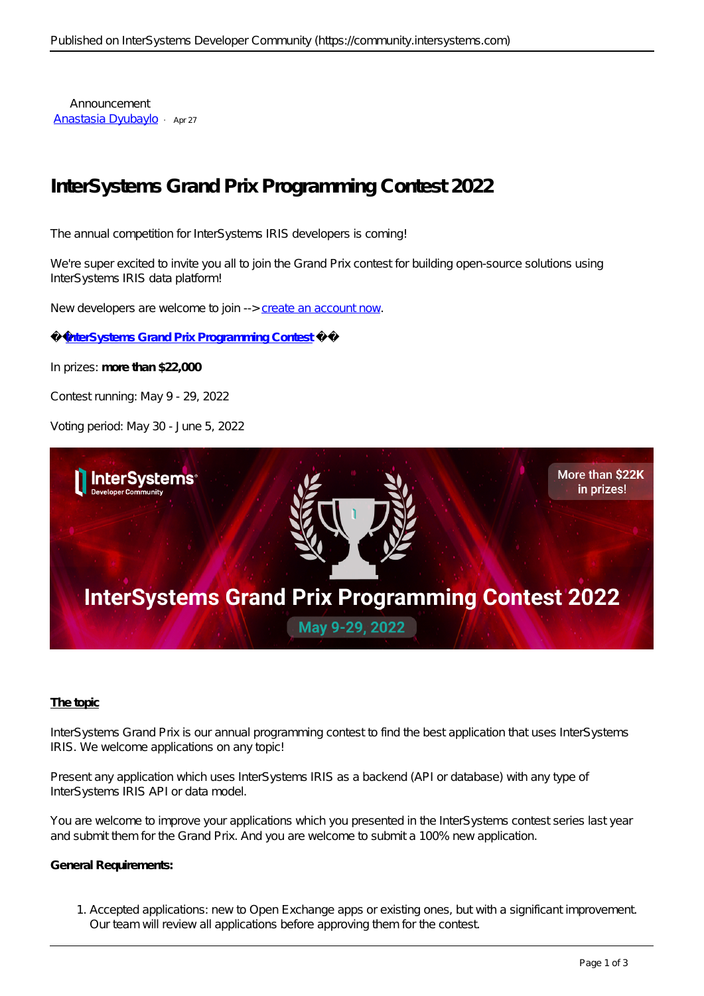Announcement [Anastasia Dyubaylo](https://community.intersystems.com/user/anastasia-dyubaylo) · Apr 27

# **InterSystems Grand Prix Programming Contest 2022**

The annual competition for InterSystems IRIS developers is coming!

We're super excited to invite you all to join the Grand Prix contest for building open-source solutions using InterSystems IRIS data platform!

*New developers are welcome to join -->* [create an account now](https://login.intersystems.com/login/SSO.UI.Register.cls?referrer=https%3A//community.intersystems.com/)*.*

**[InterSystems Grand Prix Programming](https://openexchange.intersystems.com/contest/23) [Contest](https://openexchange.intersystems.com/contest/23)**

In prizes: **more than \$22,000**

Contest running: May 9 - 29, 2022

Voting period: May 30 - June 5, 2022



### **The topic**

InterSystems Grand Prix is our annual programming contest to find the best application that uses InterSystems IRIS. We welcome applications on any topic!

Present any application which uses InterSystems IRIS as a backend (API or database) with any type of InterSystems IRIS API or data model.

You are welcome to improve your applications which you presented in the InterSystems contest series last year and submit them for the Grand Prix. And you are welcome to submit a 100% new application.

#### **General Requirements:**

1. Accepted applications: new to Open Exchange apps or existing ones, but with a significant improvement. Our team will review all applications before approving them for the contest.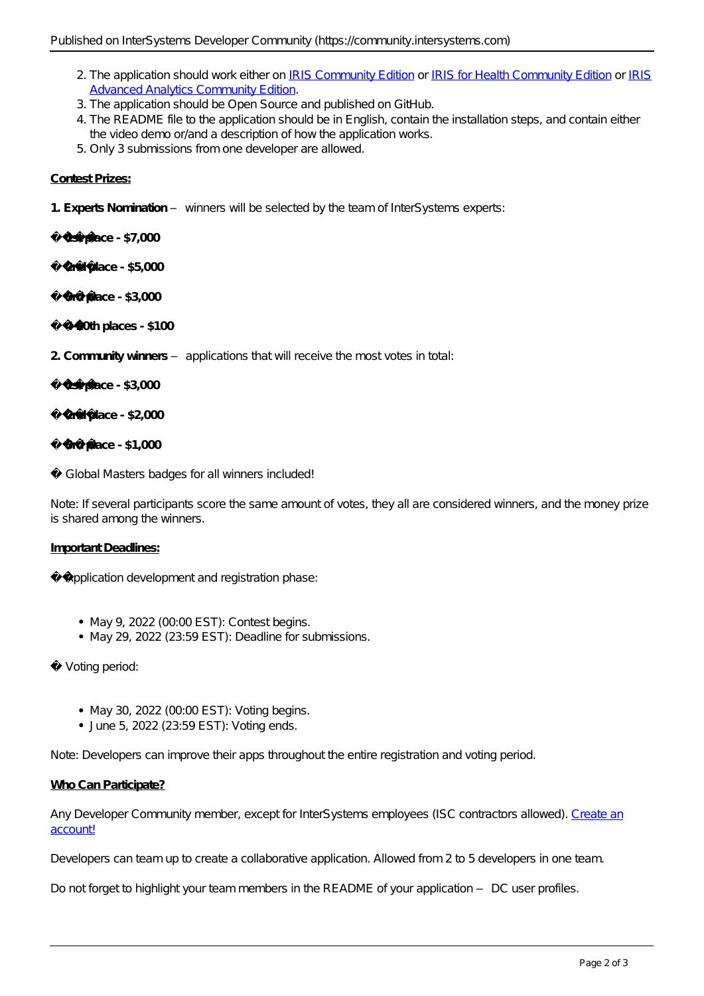- 2. The application should work either on [IRIS Community Edition](http://hub.docker.com/_/intersystems-iris-data-platform/plans/222f869e-567c-4928-b572-eb6a29706fbd?tab=instructions) or [IRIS for Health Community Edition](https://hub.docker.com/_/intersystems-iris-for-health/plans/80ae1325-d535-484e-8307-b643c2865dd8?tab=instructions) or [IRIS](https://hub.docker.com/_/intersystems-iris-data-platform/plans/222f869e-567c-4928-b572-eb6a29706fbd?tab=instructions) [Advanced Analytics Community Edition.](https://hub.docker.com/_/intersystems-iris-data-platform/plans/222f869e-567c-4928-b572-eb6a29706fbd?tab=instructions)
- 3. The application should be Open Source and published on GitHub.
- 4. The README file to the application should be in English, contain the installation steps, and contain either the video demo or/and a description of how the application works.
- 5. Only 3 submissions from one developer are allowed.

### **Contest Prizes:**

**1. Experts Nomination** – winners will be selected by the team of InterSystems experts:

**1st place - \$7,000**

**2nd place - \$5,000** 

**3rd place - \$3,000**

**4-20th places - \$100**

- **2. Community winners** applications that will receive the most votes in total:
	- **1st place \$3,000**

**2nd place - \$2,000**

**3rd place - \$1,000**

✨ Global Masters badges for all winners included!

*Note: If several participants score the same amount of votes, they all are considered winners, and the money prize is shared among the winners.*

### **Important Deadlines:**

Application development and registration phase:

- May 9, 2022 (00:00 EST): Contest begins.
- May 29, 2022 (23:59 EST): Deadline for submissions.

Voting period:

- May 30, 2022 (00:00 EST): Voting begins.
- June 5, 2022 (23:59 EST): Voting ends.

*Note: Developers can improve their apps throughout the entire registration and voting period.*

### **Who Can Participate?**

Any Developer Community member, except for InterSystems employees (ISC contractors allowed). [Create an](https://login.intersystems.com/login/SSO.UI.Register.cls?referrer=https%3A//community.intersystems.com/) [account!](https://login.intersystems.com/login/SSO.UI.Register.cls?referrer=https%3A//community.intersystems.com/)

Developers can team up to create a collaborative application. Allowed from 2 to 5 developers in one team.

*Do not forget to highlight your team members in the README of your application – DC user profiles.*